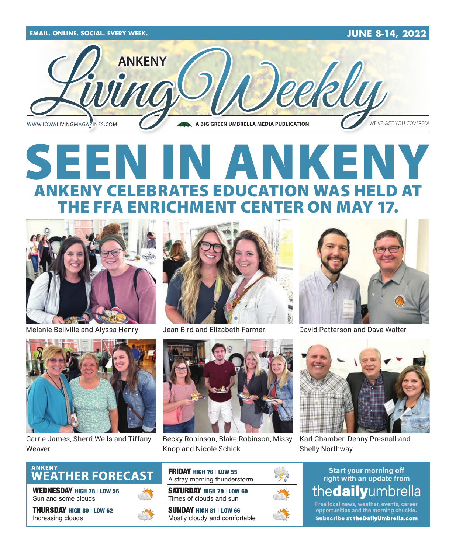

# SEEN IN ANKENY ANKENY CELEBRATES EDUCATION WAS HELD AT THE FFA ENRICHMENT CENTER ON MAY 17.



Melanie Bellville and Alyssa Henry Jean Bird and Elizabeth Farmer



Carrie James, Sherri Wells and Tiffany Weaver





Becky Robinson, Blake Robinson, Missy Knop and Nicole Schick



David Patterson and Dave Walter



Karl Chamber, Denny Presnall and Shelly Northway

### **Start your morning off** right with an update from thedailyumbrella

Free local news, weather, events, career opportunities and the morning chuckle. **Subscribe at theDailyUmbrella.com** 

ANKENY<br>WEATHER FORECAST

WEDNESDAY HIGH 78 | LOW 56 Sun and some clouds

THURSDAY HIGH 80 | LOW 62 Increasing clouds



FRIDAY HIGH 76 | LOW 55 A stray morning thunderstorm

SATURDAY HIGH 79 | LOW 60 Times of clouds and sun

SUNDAY HIGH 81 | LOW 66 Mostly cloudy and comfortable

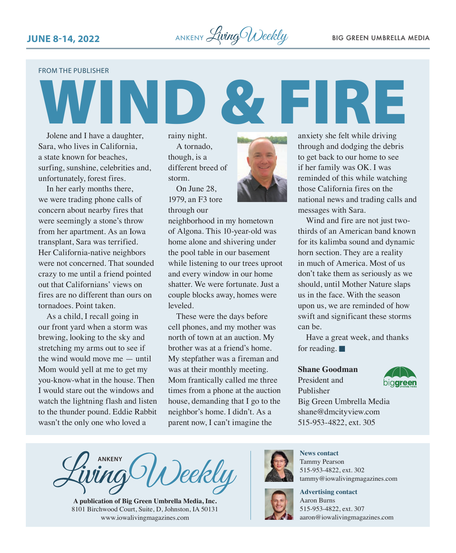

FROM THE PUBLISHER

Jolene and I have a daughter, Sara, who lives in California, a state known for beaches, surfing, sunshine, celebrities and, unfortunately, forest fires.

In her early months there, we were trading phone calls of concern about nearby fires that were seemingly a stone's throw from her apartment. As an Iowa transplant, Sara was terrified. Her California-native neighbors were not concerned. That sounded crazy to me until a friend pointed out that Californians' views on fires are no different than ours on tornadoes. Point taken.

As a child, I recall going in our front yard when a storm was brewing, looking to the sky and stretching my arms out to see if the wind would move me — until Mom would yell at me to get my you-know-what in the house. Then I would stare out the windows and watch the lightning flash and listen to the thunder pound. Eddie Rabbit wasn't the only one who loved a

rainy night. A tornado, though, is a different breed of storm.

On June 28, 1979, an F3 tore through our



neighborhood in my hometown of Algona. This 10-year-old was home alone and shivering under the pool table in our basement while listening to our trees uproot and every window in our home shatter. We were fortunate. Just a couple blocks away, homes were leveled.

These were the days before cell phones, and my mother was north of town at an auction. My brother was at a friend's home. My stepfather was a fireman and was at their monthly meeting. Mom frantically called me three times from a phone at the auction house, demanding that I go to the neighbor's home. I didn't. As a parent now, I can't imagine the

anxiety she felt while driving through and dodging the debris to get back to our home to see if her family was OK. I was reminded of this while watching those California fires on the national news and trading calls and messages with Sara.

**FIRE** 

Wind and fire are not just twothirds of an American band known for its kalimba sound and dynamic horn section. They are a reality in much of America. Most of us don't take them as seriously as we should, until Mother Nature slaps us in the face. With the season upon us, we are reminded of how swift and significant these storms can be.

Have a great week, and thanks for reading.  $\blacksquare$ 

#### **Shane Goodman**

President and piq**qreer** Publisher Big Green Umbrella Media shane@dmcityview.com 515-953-4822, ext. 305



**A publication of Big Green Umbrella Media, Inc.** 8101 Birchwood Court, Suite, D, Johnston, IA 50131 www.iowalivingmagazines.com



**News contact** Tammy Pearson 515-953-4822, ext. 302



**Advertising contact** Aaron Burns 515-953-4822, ext. 307

tammy@iowalivingmagazines.com

[aaron@iowalivingmagazines.com](mailto:aaron@iowalivingmagazines.com)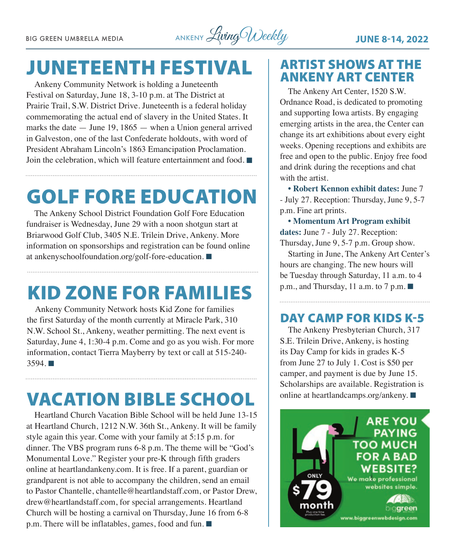BIG GREEN UMBRELLA MEDIA ANKENY *Living Weekly* **JUNE 8-14, 2022** 

## JUNETEENTH FESTIVAL

Ankeny Community Network is holding a Juneteenth Festival on Saturday, June 18, 3-10 p.m. at The District at Prairie Trail, S.W. District Drive. Juneteenth is a federal holiday commemorating the actual end of slavery in the United States. It marks the date — June 19, 1865 — when a Union general arrived in Galveston, one of the last Confederate holdouts, with word of President Abraham Lincoln's 1863 Emancipation Proclamation. Join the celebration, which will feature entertainment and food.  $\blacksquare$ 

# GOLF FORE EDUCATION

The Ankeny School District Foundation Golf Fore Education fundraiser is Wednesday, June 29 with a noon shotgun start at Briarwood Golf Club, 3405 N.E. Trilein Drive, Ankeny. More information on sponsorships and registration can be found online at [ankenyschoolfoundation.org/golf-fore-education](http://ankenyschoolfoundation.org/golf-fore-education).  $\blacksquare$ 

## KID ZONE FOR FAMILIES

Ankeny Community Network hosts Kid Zone for families the first Saturday of the month currently at Miracle Park, 310 N.W. School St., Ankeny, weather permitting. The next event is Saturday, June 4, 1:30-4 p.m. Come and go as you wish. For more information, contact Tierra Mayberry by text or call at 515-240-  $3594.$ 

## VACATION BIBLE SCHOOL

Heartland Church Vacation Bible School will be held June 13-15 at Heartland Church, 1212 N.W. 36th St., Ankeny. It will be family style again this year. Come with your family at 5:15 p.m. for dinner. The VBS program runs 6-8 p.m. The theme will be "God's Monumental Love." Register your pre-K through fifth graders online at [heartlandankeny.com](http://heartlandankeny.com). It is free. If a parent, guardian or grandparent is not able to accompany the children, send an email to Pastor Chantelle, [chantelle@heartlandstaff.com,](mailto:chantelle@heartlandstaff.com) or Pastor Drew, [drew@heartlandstaff.com,](mailto:drew@heartlandstaff.com) for special arrangements. Heartland Church will be hosting a carnival on Thursday, June 16 from 6-8 p.m. There will be inflatables, games, food and fun.  $\blacksquare$ 

### ARTIST SHOWS AT THE ANKENY ART CENTER

The Ankeny Art Center, 1520 S.W. Ordnance Road, is dedicated to promoting and supporting Iowa artists. By engaging emerging artists in the area, the Center can change its art exhibitions about every eight weeks. Opening receptions and exhibits are free and open to the public. Enjoy free food and drink during the receptions and chat with the artist.

**• Robert Kennon exhibit dates:** June 7 - July 27. Reception: Thursday, June 9, 5-7 p.m. Fine art prints.

**• Momentum Art Program exhibit dates:** June 7 - July 27. Reception: Thursday, June 9, 5-7 p.m. Group show.

Starting in June, The Ankeny Art Center's hours are changing. The new hours will be Tuesday through Saturday, 11 a.m. to 4 p.m., and Thursday, 11 a.m. to 7 p.m.  $\blacksquare$ 

### DAY CAMP FOR KIDS K-5

The Ankeny Presbyterian Church, 317 S.E. Trilein Drive, Ankeny, is hosting its Day Camp for kids in grades K-5 from June 27 to July 1. Cost is \$50 per camper, and payment is due by June 15. Scholarships are available. Registration is online at [heartlandcamps.org/ankeny.](http://heartlandcamps.org/ankeny)  $\blacksquare$ 

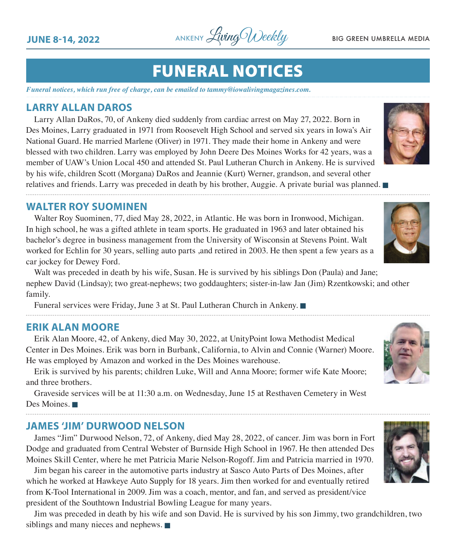**JUNE 8-14, 2022** ANKENY *Living Weekly* BIG GREEN UMBRELLA MEDIA

### FUNERAL NOTICES

*Funeral notices, which run free of charge, can be emailed to tammy@iowalivingmagazines.com.*

#### **LARRY ALLAN DAROS**

Larry Allan DaRos, 70, of Ankeny died suddenly from cardiac arrest on May 27, 2022. Born in Des Moines, Larry graduated in 1971 from Roosevelt High School and served six years in Iowa's Air National Guard. He married Marlene (Oliver) in 1971. They made their home in Ankeny and were blessed with two children. Larry was employed by John Deere Des Moines Works for 42 years, was a member of UAW's Union Local 450 and attended St. Paul Lutheran Church in Ankeny. He is survived by his wife, children Scott (Morgana) DaRos and Jeannie (Kurt) Werner, grandson, and several other relatives and friends. Larry was preceded in death by his brother, Auggie. A private burial was planned.

#### **WALTER ROY SUOMINEN**

Walter Roy Suominen, 77, died May 28, 2022, in Atlantic. He was born in Ironwood, Michigan. In high school, he was a gifted athlete in team sports. He graduated in 1963 and later obtained his bachelor's degree in business management from the University of Wisconsin at Stevens Point. Walt worked for Echlin for 30 years, selling auto parts ,and retired in 2003. He then spent a few years as a car jockey for Dewey Ford.

Walt was preceded in death by his wife, Susan. He is survived by his siblings Don (Paula) and Jane; nephew David (Lindsay); two great-nephews; two goddaughters; sister-in-law Jan (Jim) Rzentkowski; and other family.

Funeral services were Friday, June 3 at St. Paul Lutheran Church in Ankeny.

#### **ERIK ALAN MOORE**

Erik Alan Moore, 42, of Ankeny, died May 30, 2022, at UnityPoint Iowa Methodist Medical Center in Des Moines. Erik was born in Burbank, California, to Alvin and Connie (Warner) Moore. He was employed by Amazon and worked in the Des Moines warehouse.

Erik is survived by his parents; children Luke, Will and Anna Moore; former wife Kate Moore; and three brothers.

Graveside services will be at 11:30 a.m. on Wednesday, June 15 at Resthaven Cemetery in West Des Moines.

#### **JAMES 'JIM' DURWOOD NELSON**

James "Jim" Durwood Nelson, 72, of Ankeny, died May 28, 2022, of cancer. Jim was born in Fort Dodge and graduated from Central Webster of Burnside High School in 1967. He then attended Des Moines Skill Center, where he met Patricia Marie Nelson-Rogoff. Jim and Patricia married in 1970.

Jim began his career in the automotive parts industry at Sasco Auto Parts of Des Moines, after which he worked at Hawkeye Auto Supply for 18 years. Jim then worked for and eventually retired from K-Tool International in 2009. Jim was a coach, mentor, and fan, and served as president/vice president of the Southtown Industrial Bowling League for many years.

Jim was preceded in death by his wife and son David. He is survived by his son Jimmy, two grandchildren, two siblings and many nieces and nephews.  $\blacksquare$ 







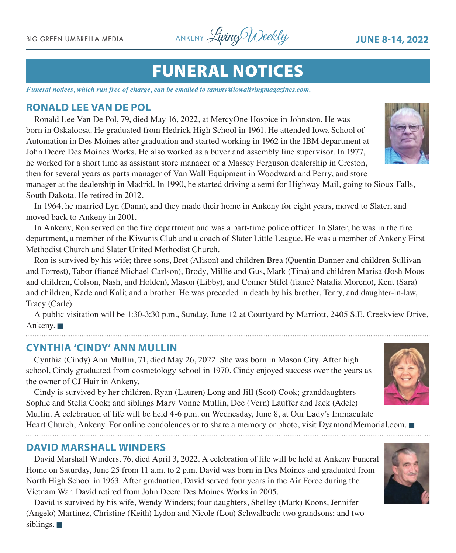BIG GREEN UMBRELLA MEDIA ANKENY *Living Weekly* **JUNE 8-14, 2022** 

## FUNERAL NOTICES

*Funeral notices, which run free of charge, can be emailed to tammy@iowalivingmagazines.com.*

#### **RONALD LEE VAN DE POL**

Ronald Lee Van De Pol, 79, died May 16, 2022, at MercyOne Hospice in Johnston. He was born in Oskaloosa. He graduated from Hedrick High School in 1961. He attended Iowa School of Automation in Des Moines after graduation and started working in 1962 in the IBM department at John Deere Des Moines Works. He also worked as a buyer and assembly line supervisor. In 1977, he worked for a short time as assistant store manager of a Massey Ferguson dealership in Creston, then for several years as parts manager of Van Wall Equipment in Woodward and Perry, and store

manager at the dealership in Madrid. In 1990, he started driving a semi for Highway Mail, going to Sioux Falls, South Dakota. He retired in 2012.

In 1964, he married Lyn (Dann), and they made their home in Ankeny for eight years, moved to Slater, and moved back to Ankeny in 2001.

In Ankeny, Ron served on the fire department and was a part-time police officer. In Slater, he was in the fire department, a member of the Kiwanis Club and a coach of Slater Little League. He was a member of Ankeny First Methodist Church and Slater United Methodist Church.

Ron is survived by his wife; three sons, Bret (Alison) and children Brea (Quentin Danner and children Sullivan and Forrest), Tabor (fiancé Michael Carlson), Brody, Millie and Gus, Mark (Tina) and children Marisa (Josh Moos and children, Colson, Nash, and Holden), Mason (Libby), and Conner Stifel (fiancé Natalia Moreno), Kent (Sara) and children, Kade and Kali; and a brother. He was preceded in death by his brother, Terry, and daughter-in-law, Tracy (Carle).

A public visitation will be 1:30-3:30 p.m., Sunday, June 12 at Courtyard by Marriott, 2405 S.E. Creekview Drive, Ankeny.  $\blacksquare$ 

#### **CYNTHIA 'CINDY' ANN MULLIN**

Cynthia (Cindy) Ann Mullin, 71, died May 26, 2022. She was born in Mason City. After high school, Cindy graduated from cosmetology school in 1970. Cindy enjoyed success over the years as the owner of CJ Hair in Ankeny.

Cindy is survived by her children, Ryan (Lauren) Long and Jill (Scot) Cook; granddaughters Sophie and Stella Cook; and siblings Mary Vonne Mullin, Dee (Vern) Lauffer and Jack (Adele) Mullin. A celebration of life will be held 4-6 p.m. on Wednesday, June 8, at Our Lady's Immaculate

Heart Church, Ankeny. For online condolences or to share a memory or photo, visit [DyamondMemorial.com](http://DyamondMemorial.com).

#### **DAVID MARSHALL WINDERS**

David Marshall Winders, 76, died April 3, 2022. A celebration of life will be held at Ankeny Funeral Home on Saturday, June 25 from 11 a.m. to 2 p.m. David was born in Des Moines and graduated from North High School in 1963. After graduation, David served four years in the Air Force during the Vietnam War. David retired from John Deere Des Moines Works in 2005.

David is survived by his wife, Wendy Winders; four daughters, Shelley (Mark) Koons, Jennifer (Angelo) Martinez, Christine (Keith) Lydon and Nicole (Lou) Schwalbach; two grandsons; and two siblings.  $\blacksquare$ 





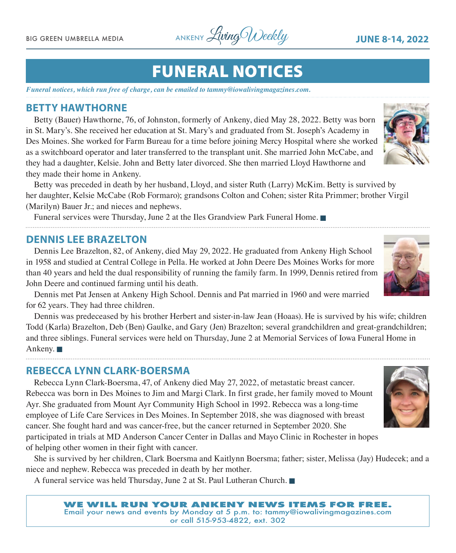BIG GREEN UMBRELLA MEDIA ANKENY *Living Weekly* JUNE 8-14, 2022

### FUNERAL NOTICES

*Funeral notices, which run free of charge, can be emailed to tammy@iowalivingmagazines.com.*

#### **BETTY HAWTHORNE**

Betty (Bauer) Hawthorne, 76, of Johnston, formerly of Ankeny, died May 28, 2022. Betty was born in St. Mary's. She received her education at St. Mary's and graduated from St. Joseph's Academy in Des Moines. She worked for Farm Bureau for a time before joining Mercy Hospital where she worked as a switchboard operator and later transferred to the transplant unit. She married John McCabe, and they had a daughter, Kelsie. John and Betty later divorced. She then married Lloyd Hawthorne and they made their home in Ankeny.

Betty was preceded in death by her husband, Lloyd, and sister Ruth (Larry) McKim. Betty is survived by her daughter, Kelsie McCabe (Rob Formaro); grandsons Colton and Cohen; sister Rita Primmer; brother Virgil (Marilyn) Bauer Jr.; and nieces and nephews.

Funeral services were Thursday, June 2 at the Iles Grandview Park Funeral Home.

#### **DENNIS LEE BRAZELTON**

Dennis Lee Brazelton, 82, of Ankeny, died May 29, 2022. He graduated from Ankeny High School in 1958 and studied at Central College in Pella. He worked at John Deere Des Moines Works for more than 40 years and held the dual responsibility of running the family farm. In 1999, Dennis retired from John Deere and continued farming until his death.

Dennis met Pat Jensen at Ankeny High School. Dennis and Pat married in 1960 and were married for 62 years. They had three children.

Dennis was predeceased by his brother Herbert and sister-in-law Jean (Hoaas). He is survived by his wife; children Todd (Karla) Brazelton, Deb (Ben) Gaulke, and Gary (Jen) Brazelton; several grandchildren and great-grandchildren; and three siblings. Funeral services were held on Thursday, June 2 at Memorial Services of Iowa Funeral Home in Ankeny.  $\blacksquare$ 

#### **REBECCA LYNN CLARK-BOERSMA**

Rebecca Lynn Clark-Boersma, 47, of Ankeny died May 27, 2022, of metastatic breast cancer. Rebecca was born in Des Moines to Jim and Margi Clark. In first grade, her family moved to Mount Ayr. She graduated from Mount Ayr Community High School in 1992. Rebecca was a long-time employee of Life Care Services in Des Moines. In September 2018, she was diagnosed with breast cancer. She fought hard and was cancer-free, but the cancer returned in September 2020. She

participated in trials at MD Anderson Cancer Center in Dallas and Mayo Clinic in Rochester in hopes of helping other women in their fight with cancer.

She is survived by her children, Clark Boersma and Kaitlynn Boersma; father; sister, Melissa (Jay) Hudecek; and a niece and nephew. Rebecca was preceded in death by her mother.

A funeral service was held Thursday, June 2 at St. Paul Lutheran Church.







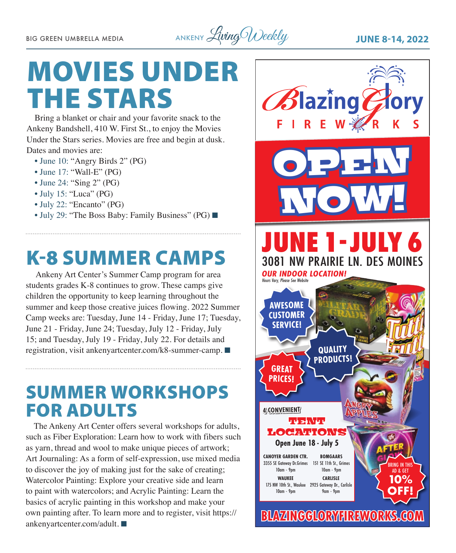BIG GREEN UMBRELLA MEDIA ANKENY *Living Weekly* JUNE 8-14, 2022

# MOVIES UNDER THE STARS

Bring a blanket or chair and your favorite snack to the Ankeny Bandshell, 410 W. First St., to enjoy the Movies Under the Stars series. Movies are free and begin at dusk. Dates and movies are:

- June 10: "Angry Birds 2" (PG)
- June 17: "Wall-E" (PG)
- June 24: "Sing 2" (PG)
- July 15: "Luca" (PG)
- July 22: "Encanto" (PG)
- July 29: "The Boss Baby: Family Business" (PG)  $\Box$

## K-8 SUMMER CAMPS

 Ankeny Art Center's Summer Camp program for area students grades K-8 continues to grow. These camps give children the opportunity to keep learning throughout the summer and keep those creative juices flowing. 2022 Summer Camp weeks are: Tuesday, June 14 - Friday, June 17; Tuesday, June 21 - Friday, June 24; Tuesday, July 12 - Friday, July 15; and Tuesday, July 19 - Friday, July 22. For details and registration, visit [ankenyartcenter.com/k8-summer-camp.](http://ankenyartcenter.com/k8-summer-camp) ■

### SUMMER WORKSHOPS FOR ADULTS

The Ankeny Art Center offers several workshops for adults, such as Fiber Exploration: Learn how to work with fibers such as yarn, thread and wool to make unique pieces of artwork; Art Journaling: As a form of self-expression, use mixed media to discover the joy of making just for the sake of creating; Watercolor Painting: Explore your creative side and learn to paint with watercolors; and Acrylic Painting: Learn the basics of acrylic painting in this workshop and make your own painting after. To learn more and to register, visit [https://](https://ankenyartcenter.com/adult) [ankenyartcenter.com/adult](https://ankenyartcenter.com/adult).